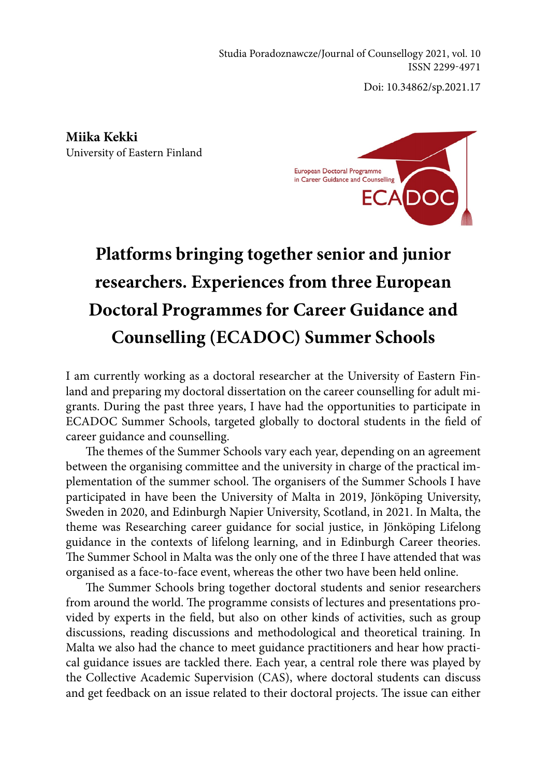Doi: 10.34862/sp.2021.17

**Miika Kekki** University of Eastern Finland



## **Platforms bringing together senior and junior researchers. Experiences from three European Doctoral Programmes for Career Guidance and Counselling (ECADOC) Summer Schools**

I am currently working as a doctoral researcher at the University of Eastern Finland and preparing my doctoral dissertation on the career counselling for adult migrants. During the past three years, I have had the opportunities to participate in ECADOC Summer Schools, targeted globally to doctoral students in the field of career guidance and counselling.

The themes of the Summer Schools vary each year, depending on an agreement between the organising committee and the university in charge of the practical implementation of the summer school. The organisers of the Summer Schools I have participated in have been the University of Malta in 2019, Jönköping University, Sweden in 2020, and Edinburgh Napier University, Scotland, in 2021. In Malta, the theme was Researching career guidance for social justice, in Jönköping Lifelong guidance in the contexts of lifelong learning, and in Edinburgh Career theories. The Summer School in Malta was the only one of the three I have attended that was organised as a face-to-face event, whereas the other two have been held online.

The Summer Schools bring together doctoral students and senior researchers from around the world. The programme consists of lectures and presentations provided by experts in the field, but also on other kinds of activities, such as group discussions, reading discussions and methodological and theoretical training. In Malta we also had the chance to meet guidance practitioners and hear how practical guidance issues are tackled there. Each year, a central role there was played by the Collective Academic Supervision (CAS), where doctoral students can discuss and get feedback on an issue related to their doctoral projects. The issue can either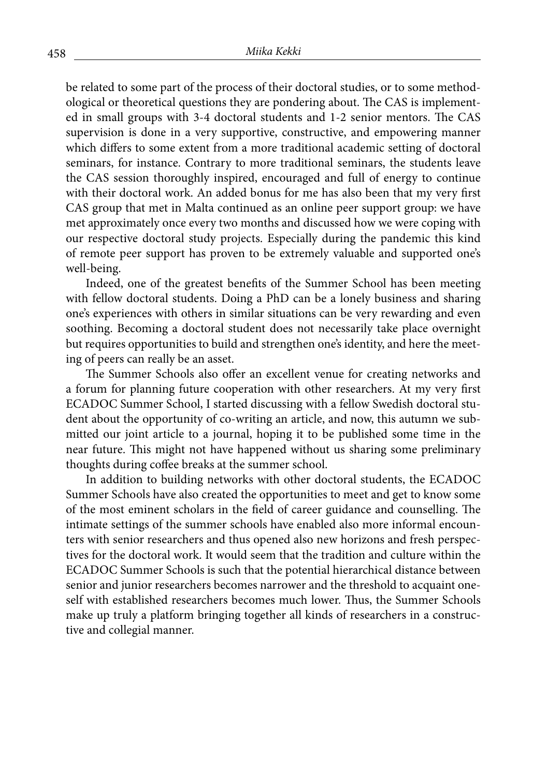be related to some part of the process of their doctoral studies, or to some methodological or theoretical questions they are pondering about. The CAS is implemented in small groups with 3-4 doctoral students and 1-2 senior mentors. The CAS supervision is done in a very supportive, constructive, and empowering manner which differs to some extent from a more traditional academic setting of doctoral seminars, for instance. Contrary to more traditional seminars, the students leave the CAS session thoroughly inspired, encouraged and full of energy to continue with their doctoral work. An added bonus for me has also been that my very first CAS group that met in Malta continued as an online peer support group: we have met approximately once every two months and discussed how we were coping with our respective doctoral study projects. Especially during the pandemic this kind of remote peer support has proven to be extremely valuable and supported one's well-being.

Indeed, one of the greatest benefits of the Summer School has been meeting with fellow doctoral students. Doing a PhD can be a lonely business and sharing one's experiences with others in similar situations can be very rewarding and even soothing. Becoming a doctoral student does not necessarily take place overnight but requires opportunities to build and strengthen one's identity, and here the meeting of peers can really be an asset.

The Summer Schools also offer an excellent venue for creating networks and a forum for planning future cooperation with other researchers. At my very first ECADOC Summer School, I started discussing with a fellow Swedish doctoral student about the opportunity of co-writing an article, and now, this autumn we submitted our joint article to a journal, hoping it to be published some time in the near future. This might not have happened without us sharing some preliminary thoughts during coffee breaks at the summer school.

In addition to building networks with other doctoral students, the ECADOC Summer Schools have also created the opportunities to meet and get to know some of the most eminent scholars in the field of career guidance and counselling. The intimate settings of the summer schools have enabled also more informal encounters with senior researchers and thus opened also new horizons and fresh perspectives for the doctoral work. It would seem that the tradition and culture within the ECADOC Summer Schools is such that the potential hierarchical distance between senior and junior researchers becomes narrower and the threshold to acquaint oneself with established researchers becomes much lower. Thus, the Summer Schools make up truly a platform bringing together all kinds of researchers in a constructive and collegial manner.